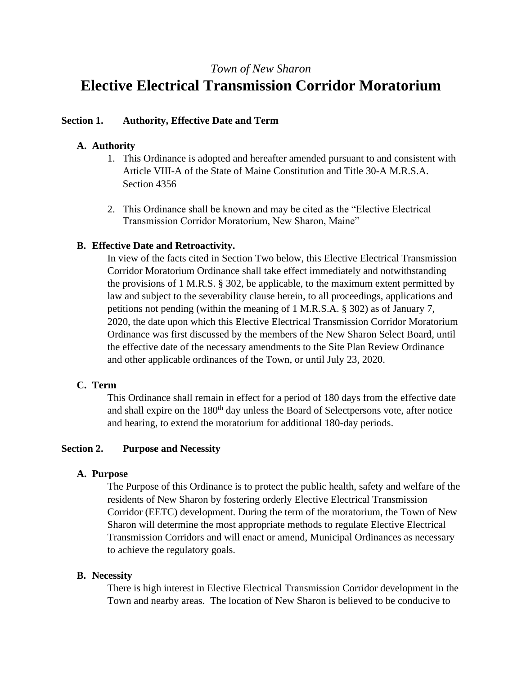## *Town of New Sharon*

# **Elective Electrical Transmission Corridor Moratorium**

#### **Section 1. Authority, Effective Date and Term**

## **A. Authority**

- 1. This Ordinance is adopted and hereafter amended pursuant to and consistent with Article VIII-A of the State of Maine Constitution and Title 30-A M.R.S.A. Section 4356
- 2. This Ordinance shall be known and may be cited as the "Elective Electrical Transmission Corridor Moratorium, New Sharon, Maine"

## **B. Effective Date and Retroactivity.**

In view of the facts cited in Section Two below, this Elective Electrical Transmission Corridor Moratorium Ordinance shall take effect immediately and notwithstanding the provisions of 1 M.R.S. § 302, be applicable, to the maximum extent permitted by law and subject to the severability clause herein, to all proceedings, applications and petitions not pending (within the meaning of 1 M.R.S.A. § 302) as of January 7, 2020, the date upon which this Elective Electrical Transmission Corridor Moratorium Ordinance was first discussed by the members of the New Sharon Select Board, until the effective date of the necessary amendments to the Site Plan Review Ordinance and other applicable ordinances of the Town, or until July 23, 2020.

## **C. Term**

This Ordinance shall remain in effect for a period of 180 days from the effective date and shall expire on the 180<sup>th</sup> day unless the Board of Selectpersons vote, after notice and hearing, to extend the moratorium for additional 180-day periods.

#### **Section 2. Purpose and Necessity**

#### **A. Purpose**

The Purpose of this Ordinance is to protect the public health, safety and welfare of the residents of New Sharon by fostering orderly Elective Electrical Transmission Corridor (EETC) development. During the term of the moratorium, the Town of New Sharon will determine the most appropriate methods to regulate Elective Electrical Transmission Corridors and will enact or amend, Municipal Ordinances as necessary to achieve the regulatory goals.

#### **B. Necessity**

There is high interest in Elective Electrical Transmission Corridor development in the Town and nearby areas. The location of New Sharon is believed to be conducive to